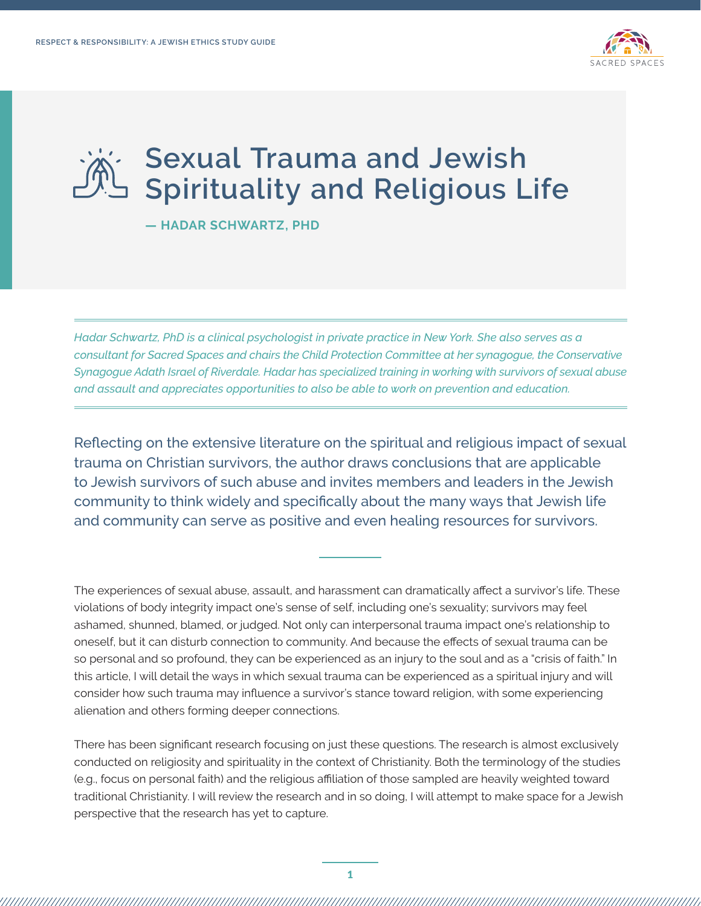

## **Sexual Trauma and Jewish Spirituality and Religious Life**

**— HADAR SCHWARTZ, PHD** 

*Hadar Schwartz, PhD is a clinical psychologist in private practice in New York. She also serves as a consultant for Sacred Spaces and chairs the Child Protection Committee at her synagogue, the Conservative Synagogue Adath Israel of Riverdale. Hadar has specialized training in working with survivors of sexual abuse and assault and appreciates opportunities to also be able to work on prevention and education.* 

Reflecting on the extensive literature on the spiritual and religious impact of sexual trauma on Christian survivors, the author draws conclusions that are applicable to Jewish survivors of such abuse and invites members and leaders in the Jewish community to think widely and specifically about the many ways that Jewish life and community can serve as positive and even healing resources for survivors.

The experiences of sexual abuse, assault, and harassment can dramatically affect a survivor's life. These violations of body integrity impact one's sense of self, including one's sexuality; survivors may feel ashamed, shunned, blamed, or judged. Not only can interpersonal trauma impact one's relationship to oneself, but it can disturb connection to community. And because the effects of sexual trauma can be so personal and so profound, they can be experienced as an injury to the soul and as a "crisis of faith." In this article, I will detail the ways in which sexual trauma can be experienced as a spiritual injury and will consider how such trauma may influence a survivor's stance toward religion, with some experiencing alienation and others forming deeper connections.

There has been significant research focusing on just these questions. The research is almost exclusively conducted on religiosity and spirituality in the context of Christianity. Both the terminology of the studies (e.g., focus on personal faith) and the religious affiliation of those sampled are heavily weighted toward traditional Christianity. I will review the research and in so doing, I will attempt to make space for a Jewish perspective that the research has yet to capture.

,,,,,,,,,,,,,,,,,,,,,,,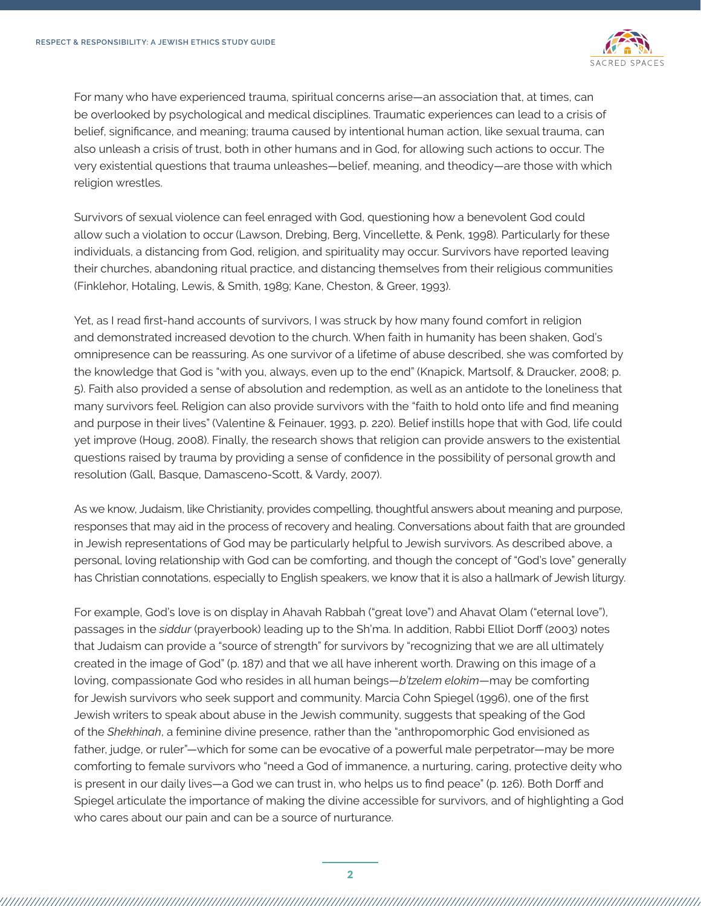

For many who have experienced trauma, spiritual concerns arise—an association that, at times, can be overlooked by psychological and medical disciplines. Traumatic experiences can lead to a crisis of belief, significance, and meaning; trauma caused by intentional human action, like sexual trauma, can also unleash a crisis of trust, both in other humans and in God, for allowing such actions to occur. The very existential questions that trauma unleashes—belief, meaning, and theodicy—are those with which religion wrestles.

Survivors of sexual violence can feel enraged with God, questioning how a benevolent God could allow such a violation to occur (Lawson, Drebing, Berg, Vincellette, & Penk, 1998). Particularly for these individuals, a distancing from God, religion, and spirituality may occur. Survivors have reported leaving their churches, abandoning ritual practice, and distancing themselves from their religious communities (Finklehor, Hotaling, Lewis, & Smith, 1989; Kane, Cheston, & Greer, 1993).

Yet, as I read first-hand accounts of survivors, I was struck by how many found comfort in religion and demonstrated increased devotion to the church. When faith in humanity has been shaken, God's omnipresence can be reassuring. As one survivor of a lifetime of abuse described, she was comforted by the knowledge that God is "with you, always, even up to the end" (Knapick, Martsolf, & Draucker, 2008; p. 5). Faith also provided a sense of absolution and redemption, as well as an antidote to the loneliness that many survivors feel. Religion can also provide survivors with the "faith to hold onto life and find meaning and purpose in their lives" (Valentine & Feinauer, 1993, p. 220). Belief instills hope that with God, life could yet improve (Houg, 2008). Finally, the research shows that religion can provide answers to the existential questions raised by trauma by providing a sense of confidence in the possibility of personal growth and resolution (Gall, Basque, Damasceno-Scott, & Vardy, 2007).

As we know, Judaism, like Christianity, provides compelling, thoughtful answers about meaning and purpose, responses that may aid in the process of recovery and healing. Conversations about faith that are grounded in Jewish representations of God may be particularly helpful to Jewish survivors. As described above, a personal, loving relationship with God can be comforting, and though the concept of "God's love" generally has Christian connotations, especially to English speakers, we know that it is also a hallmark of Jewish liturgy.

For example, God's love is on display in Ahavah Rabbah ("great love") and Ahavat Olam ("eternal love"), passages in the *siddur* (prayerbook) leading up to the Sh'ma. In addition, Rabbi Elliot Dorff (2003) notes that Judaism can provide a "source of strength" for survivors by "recognizing that we are all ultimately created in the image of God" (p. 187) and that we all have inherent worth. Drawing on this image of a loving, compassionate God who resides in all human beings—*b'tzelem elokim*—may be comforting for Jewish survivors who seek support and community. Marcia Cohn Spiegel (1996), one of the first Jewish writers to speak about abuse in the Jewish community, suggests that speaking of the God of the *Shekhinah*, a feminine divine presence, rather than the "anthropomorphic God envisioned as father, judge, or ruler"—which for some can be evocative of a powerful male perpetrator—may be more comforting to female survivors who "need a God of immanence, a nurturing, caring, protective deity who is present in our daily lives—a God we can trust in, who helps us to find peace" (p. 126). Both Dorff and Spiegel articulate the importance of making the divine accessible for survivors, and of highlighting a God who cares about our pain and can be a source of nurturance.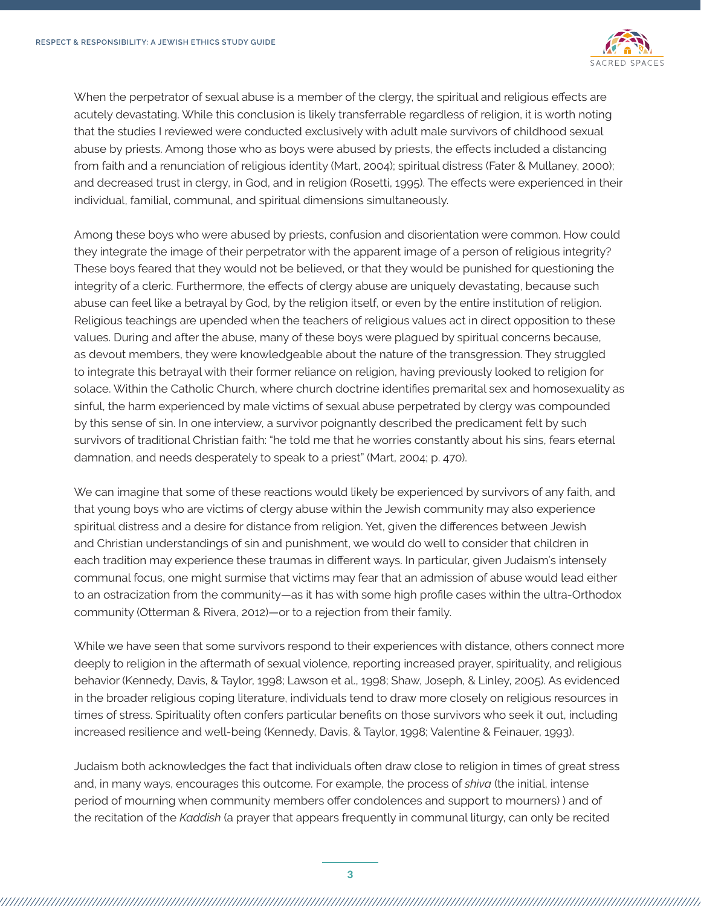

When the perpetrator of sexual abuse is a member of the clergy, the spiritual and religious effects are acutely devastating. While this conclusion is likely transferrable regardless of religion, it is worth noting that the studies I reviewed were conducted exclusively with adult male survivors of childhood sexual abuse by priests. Among those who as boys were abused by priests, the effects included a distancing from faith and a renunciation of religious identity (Mart, 2004); spiritual distress (Fater & Mullaney, 2000); and decreased trust in clergy, in God, and in religion (Rosetti, 1995). The effects were experienced in their individual, familial, communal, and spiritual dimensions simultaneously.

Among these boys who were abused by priests, confusion and disorientation were common. How could they integrate the image of their perpetrator with the apparent image of a person of religious integrity? These boys feared that they would not be believed, or that they would be punished for questioning the integrity of a cleric. Furthermore, the effects of clergy abuse are uniquely devastating, because such abuse can feel like a betrayal by God, by the religion itself, or even by the entire institution of religion. Religious teachings are upended when the teachers of religious values act in direct opposition to these values. During and after the abuse, many of these boys were plagued by spiritual concerns because, as devout members, they were knowledgeable about the nature of the transgression. They struggled to integrate this betrayal with their former reliance on religion, having previously looked to religion for solace. Within the Catholic Church, where church doctrine identifies premarital sex and homosexuality as sinful, the harm experienced by male victims of sexual abuse perpetrated by clergy was compounded by this sense of sin. In one interview, a survivor poignantly described the predicament felt by such survivors of traditional Christian faith: "he told me that he worries constantly about his sins, fears eternal damnation, and needs desperately to speak to a priest" (Mart, 2004; p. 470).

We can imagine that some of these reactions would likely be experienced by survivors of any faith, and that young boys who are victims of clergy abuse within the Jewish community may also experience spiritual distress and a desire for distance from religion. Yet, given the differences between Jewish and Christian understandings of sin and punishment, we would do well to consider that children in each tradition may experience these traumas in different ways. In particular, given Judaism's intensely communal focus, one might surmise that victims may fear that an admission of abuse would lead either to an ostracization from the community—as it has with some high profile cases within the ultra-Orthodox community (Otterman & Rivera, 2012)—or to a rejection from their family.

While we have seen that some survivors respond to their experiences with distance, others connect more deeply to religion in the aftermath of sexual violence, reporting increased prayer, spirituality, and religious behavior (Kennedy, Davis, & Taylor, 1998; Lawson et al., 1998; Shaw, Joseph, & Linley, 2005). As evidenced in the broader religious coping literature, individuals tend to draw more closely on religious resources in times of stress. Spirituality often confers particular benefits on those survivors who seek it out, including increased resilience and well-being (Kennedy, Davis, & Taylor, 1998; Valentine & Feinauer, 1993).

Judaism both acknowledges the fact that individuals often draw close to religion in times of great stress and, in many ways, encourages this outcome. For example, the process of *shiva* (the initial, intense period of mourning when community members offer condolences and support to mourners) ) and of the recitation of the *Kaddish* (a prayer that appears frequently in communal liturgy, can only be recited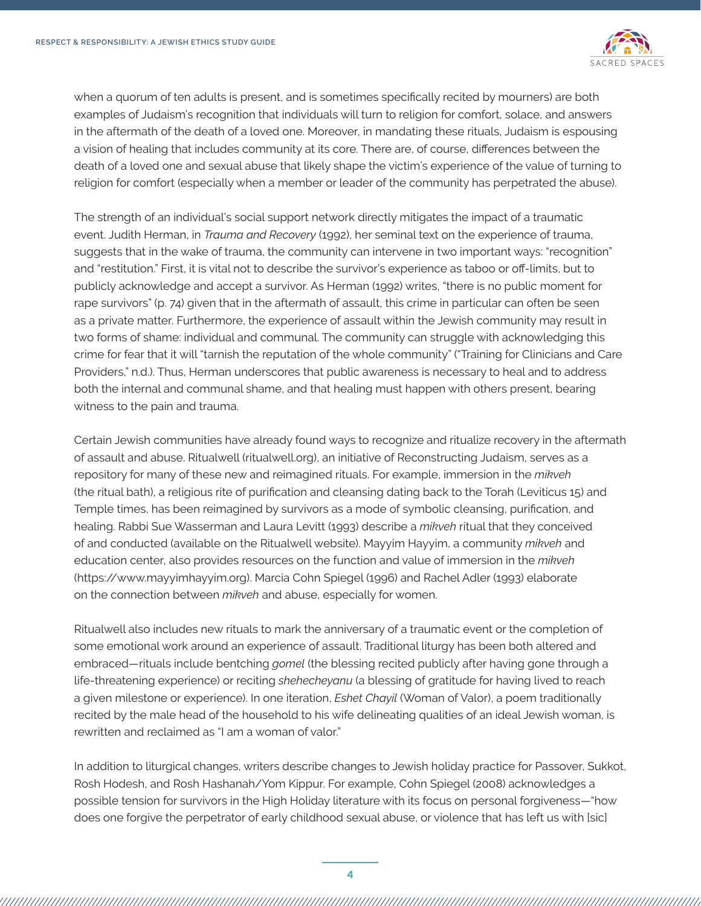

when a quorum of ten adults is present, and is sometimes specifically recited by mourners) are both examples of Judaism's recognition that individuals will turn to religion for comfort, solace, and answers in the aftermath of the death of a loved one. Moreover, in mandating these rituals, Judaism is espousing a vision of healing that includes community at its core. There are, of course, differences between the death of a loved one and sexual abuse that likely shape the victim's experience of the value of turning to religion for comfort (especially when a member or leader of the community has perpetrated the abuse).

The strength of an individual's social support network directly mitigates the impact of a traumatic event. Judith Herman, in *Trauma and Recovery* (1992), her seminal text on the experience of trauma, suggests that in the wake of trauma, the community can intervene in two important ways: "recognition" and "restitution." First, it is vital not to describe the survivor's experience as taboo or off-limits, but to publicly acknowledge and accept a survivor. As Herman (1992) writes, "there is no public moment for rape survivors" (p. 74) given that in the aftermath of assault, this crime in particular can often be seen as a private matter. Furthermore, the experience of assault within the Jewish community may result in two forms of shame: individual and communal. The community can struggle with acknowledging this crime for fear that it will "tarnish the reputation of the whole community" ("Training for Clinicians and Care Providers," n.d.). Thus, Herman underscores that public awareness is necessary to heal and to address both the internal and communal shame, and that healing must happen with others present, bearing witness to the pain and trauma.

Certain Jewish communities have already found ways to recognize and ritualize recovery in the aftermath of assault and abuse. Ritualwell (ritualwell.org), an initiative of Reconstructing Judaism, serves as a repository for many of these new and reimagined rituals. For example, immersion in the *mikveh* (the ritual bath), a religious rite of purification and cleansing dating back to the Torah (Leviticus 15) and Temple times, has been reimagined by survivors as a mode of symbolic cleansing, purification, and healing. Rabbi Sue Wasserman and Laura Levitt (1993) describe a *mikveh* ritual that they conceived of and conducted (available on the Ritualwell website). Mayyim Hayyim, a community *mikveh* and education center, also provides resources on the function and value of immersion in the *mikveh* (https://www.mayyimhayyim.org). Marcia Cohn Spiegel (1996) and Rachel Adler (1993) elaborate on the connection between *mikveh* and abuse, especially for women.

Ritualwell also includes new rituals to mark the anniversary of a traumatic event or the completion of some emotional work around an experience of assault. Traditional liturgy has been both altered and embraced—rituals include bentching *gomel* (the blessing recited publicly after having gone through a life-threatening experience) or reciting *shehecheyanu* (a blessing of gratitude for having lived to reach a given milestone or experience). In one iteration, *Eshet Chayil* (Woman of Valor), a poem traditionally recited by the male head of the household to his wife delineating qualities of an ideal Jewish woman, is rewritten and reclaimed as "I am a woman of valor."

In addition to liturgical changes, writers describe changes to Jewish holiday practice for Passover, Sukkot, Rosh Hodesh, and Rosh Hashanah/Yom Kippur. For example, Cohn Spiegel (2008) acknowledges a possible tension for survivors in the High Holiday literature with its focus on personal forgiveness—"how does one forgive the perpetrator of early childhood sexual abuse, or violence that has left us with [sic]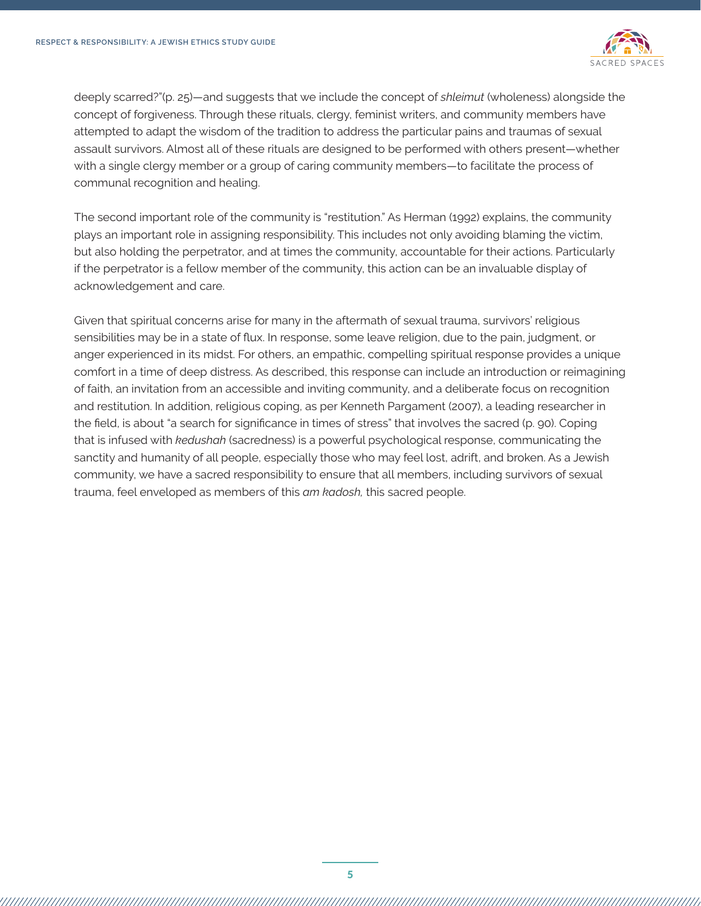

deeply scarred?"(p. 25)—and suggests that we include the concept of *shleimut* (wholeness) alongside the concept of forgiveness. Through these rituals, clergy, feminist writers, and community members have attempted to adapt the wisdom of the tradition to address the particular pains and traumas of sexual assault survivors. Almost all of these rituals are designed to be performed with others present—whether with a single clergy member or a group of caring community members—to facilitate the process of communal recognition and healing.

The second important role of the community is "restitution." As Herman (1992) explains, the community plays an important role in assigning responsibility. This includes not only avoiding blaming the victim, but also holding the perpetrator, and at times the community, accountable for their actions. Particularly if the perpetrator is a fellow member of the community, this action can be an invaluable display of acknowledgement and care.

Given that spiritual concerns arise for many in the aftermath of sexual trauma, survivors' religious sensibilities may be in a state of flux. In response, some leave religion, due to the pain, judgment, or anger experienced in its midst. For others, an empathic, compelling spiritual response provides a unique comfort in a time of deep distress. As described, this response can include an introduction or reimagining of faith, an invitation from an accessible and inviting community, and a deliberate focus on recognition and restitution. In addition, religious coping, as per Kenneth Pargament (2007), a leading researcher in the field, is about "a search for significance in times of stress" that involves the sacred (p. 90). Coping that is infused with *kedushah* (sacredness) is a powerful psychological response, communicating the sanctity and humanity of all people, especially those who may feel lost, adrift, and broken. As a Jewish community, we have a sacred responsibility to ensure that all members, including survivors of sexual trauma, feel enveloped as members of this *am kadosh,* this sacred people.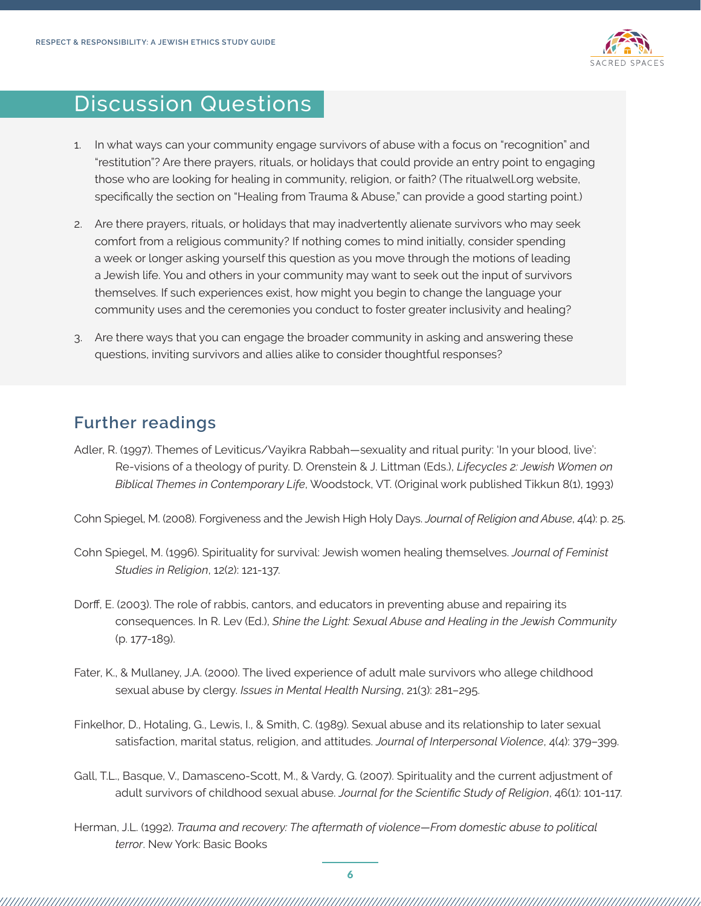

## Discussion Questions

- 1. In what ways can your community engage survivors of abuse with a focus on "recognition" and "restitution"? Are there prayers, rituals, or holidays that could provide an entry point to engaging those who are looking for healing in community, religion, or faith? (The ritualwell.org website, specifically the section on "Healing from Trauma & Abuse," can provide a good starting point.)
- 2. Are there prayers, rituals, or holidays that may inadvertently alienate survivors who may seek comfort from a religious community? If nothing comes to mind initially, consider spending a week or longer asking yourself this question as you move through the motions of leading a Jewish life. You and others in your community may want to seek out the input of survivors themselves. If such experiences exist, how might you begin to change the language your community uses and the ceremonies you conduct to foster greater inclusivity and healing?
- 3. Are there ways that you can engage the broader community in asking and answering these questions, inviting survivors and allies alike to consider thoughtful responses?

## **Further readings**

Adler, R. (1997). Themes of Leviticus/Vayikra Rabbah—sexuality and ritual purity: 'In your blood, live': Re-visions of a theology of purity. D. Orenstein & J. Littman (Eds.), *Lifecycles 2: Jewish Women on Biblical Themes in Contemporary Life*, Woodstock, VT. (Original work published Tikkun 8(1), 1993)

Cohn Spiegel, M. (2008). Forgiveness and the Jewish High Holy Days. *Journal of Religion and Abuse*, 4(4): p. 25.

- Cohn Spiegel, M. (1996). Spirituality for survival: Jewish women healing themselves. *Journal of Feminist Studies in Religion*, 12(2): 121-137.
- Dorff, E. (2003). The role of rabbis, cantors, and educators in preventing abuse and repairing its consequences. In R. Lev (Ed.), *Shine the Light: Sexual Abuse and Healing in the Jewish Community* (p. 177-189).
- Fater, K., & Mullaney, J.A. (2000). The lived experience of adult male survivors who allege childhood sexual abuse by clergy. *Issues in Mental Health Nursing*, 21(3): 281–295.
- Finkelhor, D., Hotaling, G., Lewis, I., & Smith, C. (1989). Sexual abuse and its relationship to later sexual satisfaction, marital status, religion, and attitudes. *Journal of Interpersonal Violence*, 4(4): 379–399.
- Gall, T.L., Basque, V., Damasceno-Scott, M., & Vardy, G. (2007). Spirituality and the current adjustment of adult survivors of childhood sexual abuse. *Journal for the Scientific Study of Religion*, 46(1): 101-117.
- Herman, J.L. (1992). *Trauma and recovery: The aftermath of violence—From domestic abuse to political terror*. New York: Basic Books